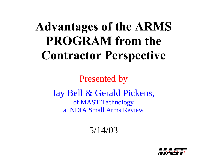# **Advantages of the ARMS PROGRAM** from the **Contractor Perspective**

Presented by

Jay Bell & Gerald Pickens, of MAST Technology at NDIA Small Arms Review

5/14/03

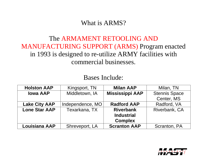What is ARMS?

## The ARMAMENT RETOOLING AND MANUFACTURING SUPPORT (ARMS) Program enacted in 1993 is designed to re-utilize ARMY facilities with commercial businesses.

#### Bases Include:

| <b>Holston AAP</b>   | Kingsport, TN    | <b>Milan AAP</b>       | Milan, TN            |
|----------------------|------------------|------------------------|----------------------|
| <b>Iowa AAP</b>      | Middletown, IA   | <b>Mississippi AAP</b> | <b>Stennis Space</b> |
|                      |                  |                        | Center, MS           |
| <b>Lake City AAP</b> | Independence, MO | <b>Radford AAP</b>     | Radford, VA          |
| <b>Lone Star AAP</b> | Texarkana, TX    | <b>Riverbank</b>       | Riverbank, CA        |
|                      |                  | <b>Industrial</b>      |                      |
|                      |                  | <b>Complex</b>         |                      |
| <b>Louisiana AAP</b> | Shreveport, LA   | <b>Scranton AAP</b>    | Scranton, PA         |

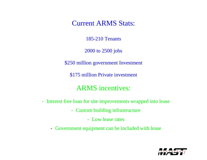Current ARMS Stats:

185-210 Tenants

2000 to 2500 jobs

\$250 million government Investment

\$175 million Private investment

### ARMS incentives:

- Interest free loan for site improvements wrapped into lease
	- Custom building infrastructure
		- Low lease rates
	- Government equipment can be included with lease

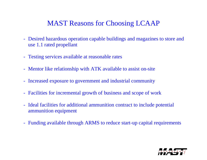## MAST Reasons for Choosing LCAAP

- Desired hazardous operation capable buildings and magazines to store and use 1.1 rated propellant
- Testing services available at reasonable rates
- Mentor like relationship with ATK available to assist on-site
- Increased exposure to government and industrial community
- Facilities for incremental growth of business and scope of work
- Ideal facilities for additional ammunition contract to include potential ammunition equipment
- Funding available through ARMS to reduce start-up capital requirements

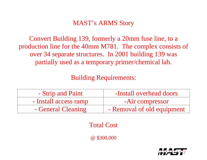## MAST's ARMS Story

Convert Building 139, formerly a 20mm fuse line, to a production line for the 40mm M781. The complex consists of over 34 separate structures. In 2001 building 139 was partially used as a temporary primer/chemical lab.

Building Requirements:

| - Strip and Paint     | -Install overhead doors    |  |
|-----------------------|----------------------------|--|
| - Install access ramp | -Air compressor            |  |
| - General Cleaning    | - Removal of old equipment |  |

Total Cost

@ \$300,000

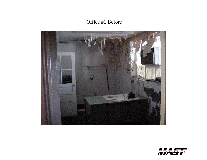Office #1 Before



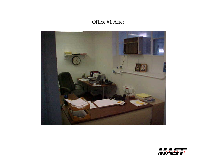#### Office #1 After



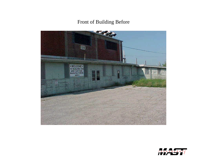Front of Building Before



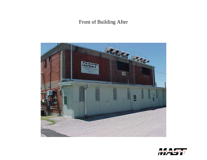#### Front of Building After



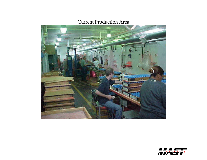#### Current Production Area



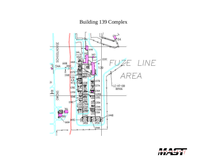#### Building 139 Complex



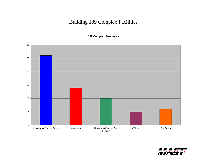#### Building 139 Complex Facilities

**139 Complex Structures**



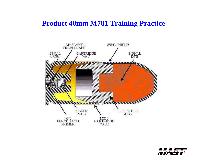## **Product 40mm M781 Training Practice**



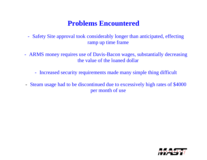# **Problems Encountered**

- Safety Site approval took considerably longer than anticipated, effecting ramp up time frame
- ARMS money requires use of Davis-Bacon wages, substantially decreasing the value of the loaned dollar
	- Increased security requirements made many simple thing difficult
- Steam usage had to be discontinued due to excessively high rates of \$4000 per month of use